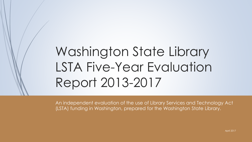# Washington State Library LSTA Five-Year Evaluation Report 2013-2017

An independent evaluation of the use of Library Services and Technology Act (LSTA) funding in Washington, prepared for the Washington State Library.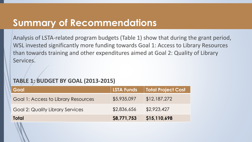#### **Summary of Recommendations**

Analysis of LSTA-related program budgets (Table 1) show that during the grant period, WSL invested significantly more funding towards Goal 1: Access to Library Resources than towards training and other expenditures aimed at Goal 2: Quality of Library Services.

#### **TABLE 1: BUDGET BY GOAL (2013-2015)**

| Goal                                    | <b>LSTA Funds</b> | <b>Total Project Cost</b> |
|-----------------------------------------|-------------------|---------------------------|
| Goal 1: Access to Library Resources     | \$5,935,097       | \$12,187,272              |
| <b>Goal 2: Quality Library Services</b> | \$2,836,656       | \$2,923,427               |
| Total                                   | \$8,771,753       | \$15,110,698              |
|                                         |                   |                           |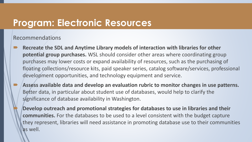#### **Program: Electronic Resources**

Recommendations

- **Recreate the SDL and Anytime Library models of interaction with libraries for other potential group purchases.** WSL should consider other areas where coordinating group purchases may lower costs or expand availability of resources, such as the purchasing of floating collections/resource kits, paid speaker series, catalog software/services, professional development opportunities, and technology equipment and service.
- **Assess available data and develop an evaluation rubric to monitor changes in use patterns.** Better data, in particular about student use of databases, would help to clarify the significance of database availability in Washington.

 **Develop outreach and promotional strategies for databases to use in libraries and their communities.** For the databases to be used to a level consistent with the budget capture they represent, libraries will need assistance in promoting database use to their communities as well.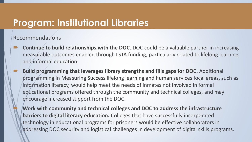#### **Program: Institutional Libraries**

Recommendations

- **Continue to build relationships with the DOC.** DOC could be a valuable partner in increasing measurable outcomes enabled through LSTA funding, particularly related to lifelong learning and informal education.
- **Build programming that leverages library strengths and fills gaps for DOC.** Additional programming in Measuring Success lifelong learning and human services focal areas, such as information literacy, would help meet the needs of inmates not involved in formal educational programs offered through the community and technical colleges, and may encourage increased support from the DOC.

 **Work with community and technical colleges and DOC to address the infrastructure barriers to digital literacy education.** Colleges that have successfully incorporated technology in educational programs for prisoners would be effective collaborators in addressing DOC security and logistical challenges in development of digital skills programs.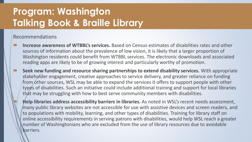# **Program: Washington Talking Book & Braille Library**

- **Increase awareness of WTBBL's services.** Based on Census estimates of disabilities rates and other sources of information about the prevalence of low vision, it is likely that a larger proportion of Washington residents could benefit from WTBBL services. The electronic downloads and associated reading apps are likely to be of growing interest and particularly worthy of promotion.
- **Seek new funding and resource sharing partnerships to extend disability services.** With appropriate stakeholder engagement, creative approaches to service delivery, and greater reliance on funding from other sources, WSL may be able to expand the services it offers to support people with other types of disabilities. Such an initiative could include additional training and support for local libraries that may be struggling with how to best serve community members with disabilities.
	- **Help libraries address accessibility barriers in libraries.** As noted in WSL's recent needs assessment, many public library websites are not accessible for use with assistive devices and screen readers, and to populations with mobility, learning, and other types of disabilities. Training for library staff on online accessibility requirements in serving patrons with disabilities, would help WSL reach a greater number of Washingtonians who are excluded from the use of library resources due to avoidable barriers.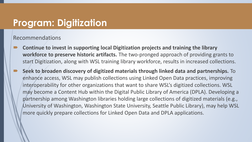#### **Program: Digitization**

- **Continue to invest in supporting local Digitization projects and training the library workforce to preserve historic artifacts.** The two-pronged approach of providing grants to start Digitization, along with WSL training library workforce, results in increased collections.
- **Seek to broaden discovery of digitized materials through linked data and partnerships.** To enhance access, WSL may publish collections using Linked Open Data practices, improving interoperability for other organizations that want to share WSL's digitized collections. WSL may become a Content Hub within the Digital Public Library of America (DPLA). Developing a partnership among Washington libraries holding large collections of digitized materials (e.g., University of Washington, Washington State University, Seattle Public Library), may help WSL more quickly prepare collections for Linked Open Data and DPLA applications.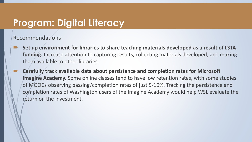#### **Program: Digital Literacy**

- **Set up environment for libraries to share teaching materials developed as a result of LSTA funding.** Increase attention to capturing results, collecting materials developed, and making them available to other libraries.
- **Carefully track available data about persistence and completion rates for Microsoft Imagine Academy.** Some online classes tend to have low retention rates, with some studies of MOOCs observing passing/completion rates of just 5-10%. Tracking the persistence and completion rates of Washington users of the Imagine Academy would help WSL evaluate the return on the investment.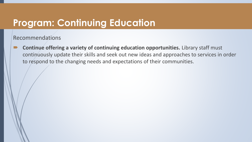### **Program: Continuing Education**

Recommendations

 **Continue offering a variety of continuing education opportunities.** Library staff must continuously update their skills and seek out new ideas and approaches to services in order to respond to the changing needs and expectations of their communities.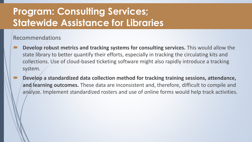## **Program: Consulting Services; Statewide Assistance for Libraries**

- **Develop robust metrics and tracking systems for consulting services.** This would allow the state library to better quantify their efforts, especially in tracking the circulating kits and collections. Use of cloud-based ticketing software might also rapidly introduce a tracking system.
- **Develop a standardized data collection method for tracking training sessions, attendance,**  and/learning outcomes. These data are inconsistent and, therefore, difficult to compile and analyze. Implement standardized rosters and use of online forms would help track activities.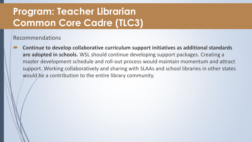# **Program: Teacher Librarian Common Core Cadre (TLC3)**

Recommendations

 **Continue to develop collaborative curriculum support initiatives as additional standards are adopted in schools.** WSL should continue developing support packages. Creating a master development schedule and roll-out process would maintain momentum and attract support. Working collaboratively and sharing with SLAAs and school libraries in other states would be a contribution to the entire library community.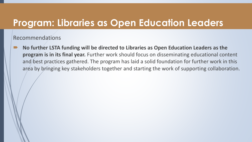#### **Program: Libraries as Open Education Leaders**

Recommendations

 **No further LSTA funding will be directed to Libraries as Open Education Leaders as the program is in its final year.** Further work should focus on disseminating educational content and best practices gathered. The program has laid a solid foundation for further work in this area by bringing key stakeholders together and starting the work of supporting collaboration.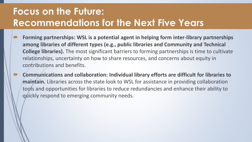# **Focus on the Future: Recommendations for the Next Five Years**

- **Forming partnerships: WSL is a potential agent in helping form inter-library partnerships among libraries of different types (e.g., public libraries and Community and Technical College libraries).** The most significant barriers to forming partnerships is time to cultivate relationships, uncertainty on how to share resources, and concerns about equity in contributions and benefits.
- **Communications and collaboration: Individual library efforts are difficult for libraries to maintain.** Libraries across the state look to WSL for assistance in providing collaboration tools and opportunities for libraries to reduce redundancies and enhance their ability to quickly respond to emerging community needs.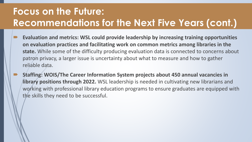# **Focus on the Future: Recommendations for the Next Five Years (cont.)**

- **Evaluation and metrics: WSL could provide leadership by increasing training opportunities on evaluation practices and facilitating work on common metrics among libraries in the state.** While some of the difficulty producing evaluation data is connected to concerns about patron privacy, a larger issue is uncertainty about what to measure and how to gather reliable data.
- **Staffing: WOIS/The Career Information System projects about 450 annual vacancies in library positions through 2022.** WSL leadership is needed in cultivating new librarians and working with professional library education programs to ensure graduates are equipped with the skills they need to be successful.